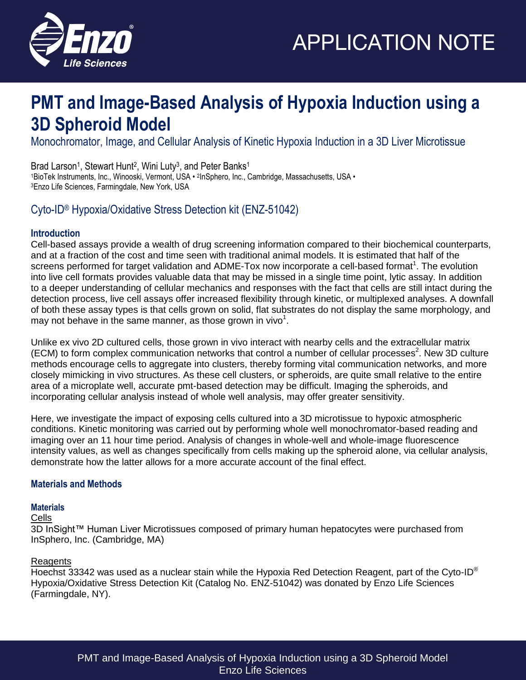

### **PMT and Image-Based Analysis of Hypoxia Induction using a 3D Spheroid Model**

Monochromator, Image, and Cellular Analysis of Kinetic Hypoxia Induction in a 3D Liver Microtissue

Brad Larson<sup>1</sup>, Stewart Hunt<sup>2</sup>, Wini Luty<sup>3</sup>, and Peter Banks<sup>1</sup>

1BioTek Instruments, Inc., Winooski, Vermont, USA • 2InSphero, Inc., Cambridge, Massachusetts, USA • <sup>3</sup>Enzo Life Sciences, Farmingdale, New York, USA

### Cyto-ID® Hypoxia/Oxidative Stress Detection kit (ENZ-51042)

#### **Introduction**

Cell-based assays provide a wealth of drug screening information compared to their biochemical counterparts, and at a fraction of the cost and time seen with traditional animal models. It is estimated that half of the screens performed for target validation and ADME-Tox now incorporate a cell-based format<sup>1</sup>. The evolution into live cell formats provides valuable data that may be missed in a single time point, lytic assay. In addition to a deeper understanding of cellular mechanics and responses with the fact that cells are still intact during the detection process, live cell assays offer increased flexibility through kinetic, or multiplexed analyses. A downfall of both these assay types is that cells grown on solid, flat substrates do not display the same morphology, and may not behave in the same manner, as those grown in vivo $^1$ .

Unlike ex vivo 2D cultured cells, those grown in vivo interact with nearby cells and the extracellular matrix (ECM) to form complex communication networks that control a number of cellular processes<sup>2</sup>. New 3D culture methods encourage cells to aggregate into clusters, thereby forming vital communication networks, and more closely mimicking in vivo structures. As these cell clusters, or spheroids, are quite small relative to the entire area of a microplate well, accurate pmt-based detection may be difficult. Imaging the spheroids, and incorporating cellular analysis instead of whole well analysis, may offer greater sensitivity.

Here, we investigate the impact of exposing cells cultured into a 3D microtissue to hypoxic atmospheric conditions. Kinetic monitoring was carried out by performing whole well monochromator-based reading and imaging over an 11 hour time period. Analysis of changes in whole-well and whole-image fluorescence intensity values, as well as changes specifically from cells making up the spheroid alone, via cellular analysis, demonstrate how the latter allows for a more accurate account of the final effect.

#### **Materials and Methods**

#### **Materials**

#### Cells

3D InSight™ Human Liver Microtissues composed of primary human hepatocytes were purchased from InSphero, Inc. (Cambridge, MA)

#### Reagents

Hoechst 33342 was used as a nuclear stain while the Hypoxia Red Detection Reagent, part of the Cyto-ID<sup>®</sup> Hypoxia/Oxidative Stress Detection Kit (Catalog No. ENZ-51042) was donated by Enzo Life Sciences (Farmingdale, NY).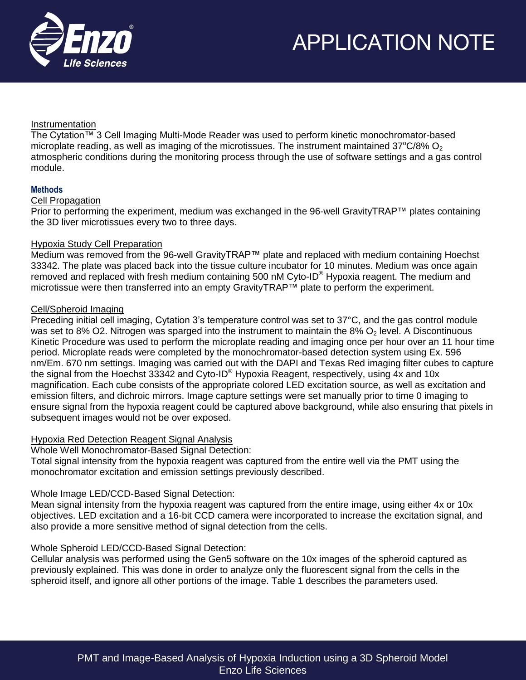

#### Instrumentation

The Cytation™ 3 Cell Imaging Multi-Mode Reader was used to perform kinetic monochromator-based microplate reading, as well as imaging of the microtissues. The instrument maintained  $37^{\circ}C/8\%$  O<sub>2</sub> atmospheric conditions during the monitoring process through the use of software settings and a gas control module.

#### **Methods**

#### Cell Propagation

Prior to performing the experiment, medium was exchanged in the 96-well GravityTRAP™ plates containing the 3D liver microtissues every two to three days.

#### Hypoxia Study Cell Preparation

Medium was removed from the 96-well GravityTRAP™ plate and replaced with medium containing Hoechst 33342. The plate was placed back into the tissue culture incubator for 10 minutes. Medium was once again removed and replaced with fresh medium containing 500 nM Cyto-ID® Hypoxia reagent. The medium and microtissue were then transferred into an empty GravityTRAP™ plate to perform the experiment.

#### Cell/Spheroid Imaging

Preceding initial cell imaging, Cytation 3's temperature control was set to 37°C, and the gas control module was set to 8% O2. Nitrogen was sparged into the instrument to maintain the 8%  $O<sub>2</sub>$  level. A Discontinuous Kinetic Procedure was used to perform the microplate reading and imaging once per hour over an 11 hour time period. Microplate reads were completed by the monochromator-based detection system using Ex. 596 nm/Em. 670 nm settings. Imaging was carried out with the DAPI and Texas Red imaging filter cubes to capture the signal from the Hoechst 33342 and Cyto-ID<sup>®</sup> Hypoxia Reagent, respectively, using 4x and 10x magnification. Each cube consists of the appropriate colored LED excitation source, as well as excitation and emission filters, and dichroic mirrors. Image capture settings were set manually prior to time 0 imaging to ensure signal from the hypoxia reagent could be captured above background, while also ensuring that pixels in subsequent images would not be over exposed.

#### Hypoxia Red Detection Reagent Signal Analysis

Whole Well Monochromator-Based Signal Detection:

Total signal intensity from the hypoxia reagent was captured from the entire well via the PMT using the monochromator excitation and emission settings previously described.

#### Whole Image LED/CCD-Based Signal Detection:

Mean signal intensity from the hypoxia reagent was captured from the entire image, using either 4x or 10x objectives. LED excitation and a 16-bit CCD camera were incorporated to increase the excitation signal, and also provide a more sensitive method of signal detection from the cells.

#### Whole Spheroid LED/CCD-Based Signal Detection:

Cellular analysis was performed using the Gen5 software on the 10x images of the spheroid captured as previously explained. This was done in order to analyze only the fluorescent signal from the cells in the spheroid itself, and ignore all other portions of the image. Table 1 describes the parameters used.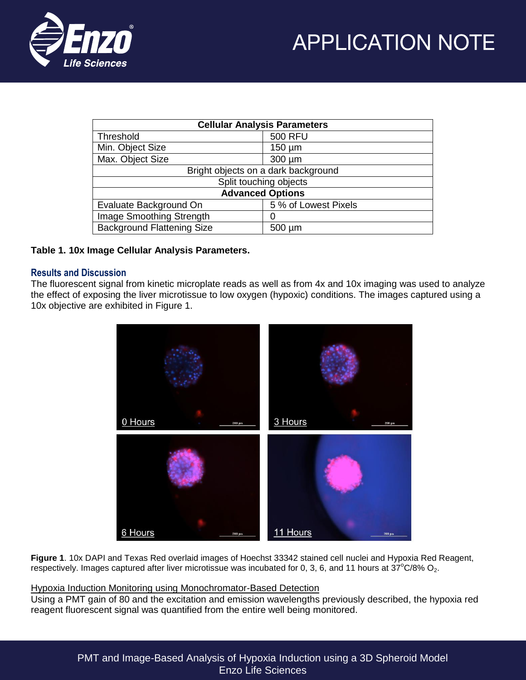



| <b>Cellular Analysis Parameters</b> |                      |
|-------------------------------------|----------------------|
| Threshold                           | <b>500 RFU</b>       |
| Min. Object Size                    | $150 \mu m$          |
| Max. Object Size                    | $300 \mu m$          |
| Bright objects on a dark background |                      |
| Split touching objects              |                      |
| <b>Advanced Options</b>             |                      |
| Evaluate Background On              | 5 % of Lowest Pixels |
| Image Smoothing Strength            | O                    |
| <b>Background Flattening Size</b>   | $500 \mu m$          |

#### **Table 1. 10x Image Cellular Analysis Parameters.**

#### **Results and Discussion**

The fluorescent signal from kinetic microplate reads as well as from 4x and 10x imaging was used to analyze the effect of exposing the liver microtissue to low oxygen (hypoxic) conditions. The images captured using a 10x objective are exhibited in Figure 1.



**Figure 1**. 10x DAPI and Texas Red overlaid images of Hoechst 33342 stained cell nuclei and Hypoxia Red Reagent, respectively. Images captured after liver microtissue was incubated for 0, 3, 6, and 11 hours at  $37^{\circ}$ C/8% O<sub>2</sub>.

#### Hypoxia Induction Monitoring using Monochromator-Based Detection

Using a PMT gain of 80 and the excitation and emission wavelengths previously described, the hypoxia red reagent fluorescent signal was quantified from the entire well being monitored.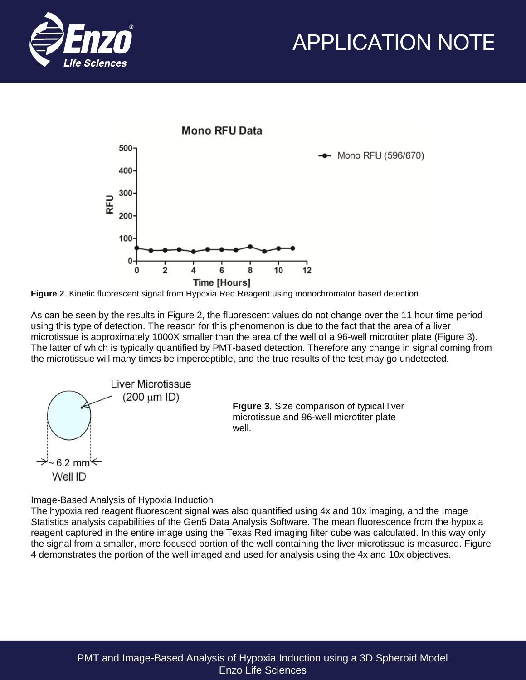





**Figure 2**. Kinetic fluorescent signal from Hypoxia Red Reagent using monochromator based detection.

As can be seen by the results in Figure 2, the fluorescent values do not change over the 11 hour time period using this type of detection. The reason for this phenomenon is due to the fact that the area of a liver microtissue is approximately 1000X smaller than the area of the well of a 96-well microtiter plate (Figure 3). The latter of which is typically quantified by PMT-based detection. Therefore any change in signal coming from the microtissue will many times be imperceptible, and the true results of the test may go undetected.



#### Image-Based Analysis of Hypoxia Induction

The hypoxia red reagent fluorescent signal was also quantified using 4x and 10x imaging, and the Image Statistics analysis capabilities of the Gen5 Data Analysis Software. The mean fluorescence from the hypoxia reagent captured in the entire image using the Texas Red imaging filter cube was calculated. In this way only the signal from a smaller, more focused portion of the well containing the liver microtissue is measured. Figure 4 demonstrates the portion of the well imaged and used for analysis using the 4x and 10x objectives.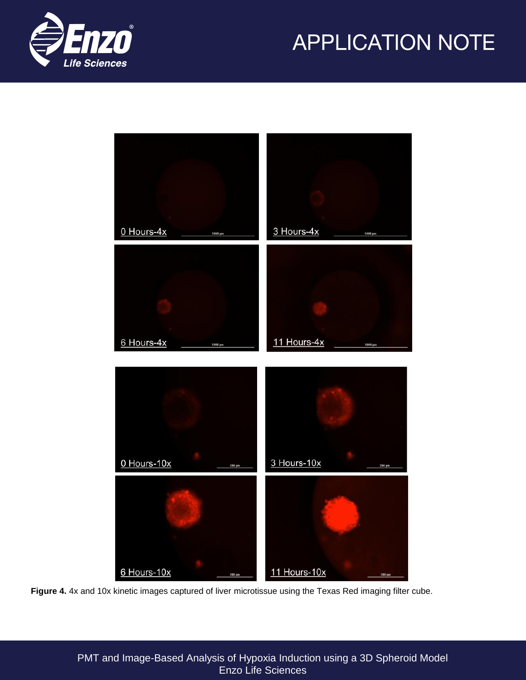



**Figure 4.** 4x and 10x kinetic images captured of liver microtissue using the Texas Red imaging filter cube.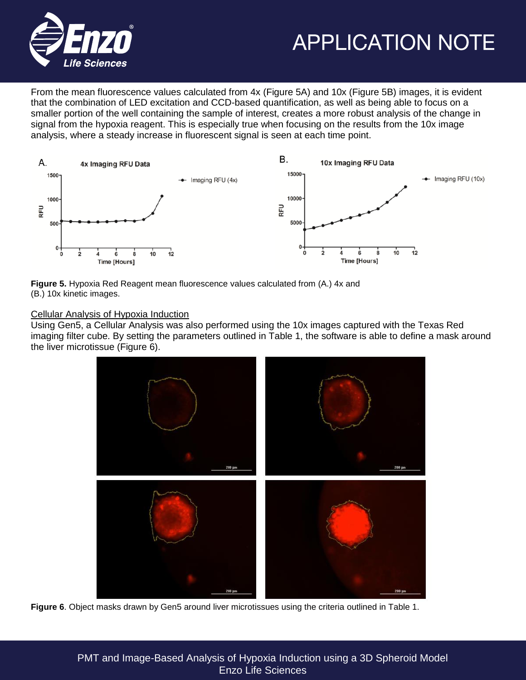

From the mean fluorescence values calculated from 4x (Figure 5A) and 10x (Figure 5B) images, it is evident that the combination of LED excitation and CCD-based quantification, as well as being able to focus on a smaller portion of the well containing the sample of interest, creates a more robust analysis of the change in signal from the hypoxia reagent. This is especially true when focusing on the results from the 10x image analysis, where a steady increase in fluorescent signal is seen at each time point.



**Figure 5.** Hypoxia Red Reagent mean fluorescence values calculated from (A.) 4x and (B.) 10x kinetic images.

#### Cellular Analysis of Hypoxia Induction

Using Gen5, a Cellular Analysis was also performed using the 10x images captured with the Texas Red imaging filter cube. By setting the parameters outlined in Table 1, the software is able to define a mask around the liver microtissue (Figure 6).



**Figure 6**. Object masks drawn by Gen5 around liver microtissues using the criteria outlined in Table 1.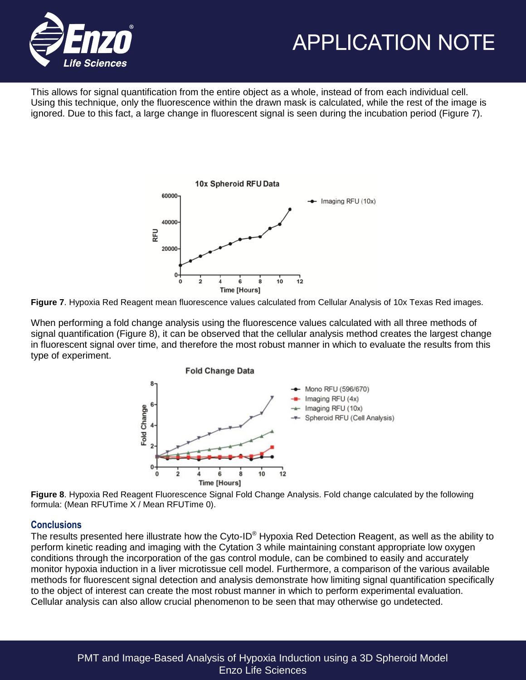

This allows for signal quantification from the entire object as a whole, instead of from each individual cell. Using this technique, only the fluorescence within the drawn mask is calculated, while the rest of the image is ignored. Due to this fact, a large change in fluorescent signal is seen during the incubation period (Figure 7).



**Figure 7**. Hypoxia Red Reagent mean fluorescence values calculated from Cellular Analysis of 10x Texas Red images.

When performing a fold change analysis using the fluorescence values calculated with all three methods of signal quantification (Figure 8), it can be observed that the cellular analysis method creates the largest change in fluorescent signal over time, and therefore the most robust manner in which to evaluate the results from this type of experiment.



**Figure 8**. Hypoxia Red Reagent Fluorescence Signal Fold Change Analysis. Fold change calculated by the following formula: (Mean RFUTime X / Mean RFUTime 0).

#### **Conclusions**

The results presented here illustrate how the Cyto-ID<sup>®</sup> Hypoxia Red Detection Reagent, as well as the ability to perform kinetic reading and imaging with the Cytation 3 while maintaining constant appropriate low oxygen conditions through the incorporation of the gas control module, can be combined to easily and accurately monitor hypoxia induction in a liver microtissue cell model. Furthermore, a comparison of the various available methods for fluorescent signal detection and analysis demonstrate how limiting signal quantification specifically to the object of interest can create the most robust manner in which to perform experimental evaluation. Cellular analysis can also allow crucial phenomenon to be seen that may otherwise go undetected.